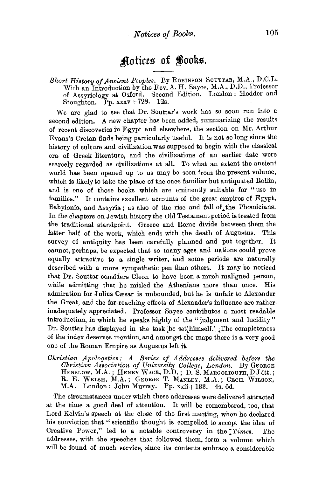## **Aotices of Books.**

## Short History of Ancient Peoples. By ROBINSON SOUTTAR, M.A., D.C.L. With an Introduction by the Rev. A. H. Sayee, M.A., D.D., Professor of Assyriology at Oxford. Second Edition. London : Hodder and Stoughton. Pp.  $xxxv + 728$ . 12s.

We are glad to see that Dr. Souttar's work has so soon run into a second edition. A new chapter has been added, summarizing the results of recent discoveries in Egypt and elsewhere, the section on Mr. Arthur Evans's Cretan finds being particularly useful. It is not so long since the history of culture and civilization was supposed to begin with the classical era of Greek literature, and the civilizations of an earlier date were scarcely regarded as civilizations at all. To what an extent the ancient world has been opened up to us may be seen from the present volume, which is likely to take the place of the once familiar but antiquated Rollin, and is one of those books which are eminently suitable for "use in families." It contains excellent accounts of the great empires of Egypt, Babylonia, and Assyria; as also of the rise and fall of the Phœnicians. In the chapters on Jewish history the Old Testament period is treated from the traditional standpoint. Greece and Rome divide between them the latter half of the work, which ends with the death of Augustus. This survey of antiquity has been carefully planned and put together. It cannot, perhaps, be expected that so many ages and nations could prove equally attractive to a single writer, and some periods are naturally described with a more sympathetic pen than others. It may be noticed that Dr. Souttar considers Cleon to have been a much maligned person, while admitting that he misled the Athenians more than once. His admiration for Julius Cæsar is unbounded, but he is unfair to Alexander the Great, and the far-reaching effects of Alexander's influence are rather inadequately appreciated. Professor Sayee contributes a most readable introduction, in which he speaks highly of the " judgment and lucidity " Dr. Souttar has displayed in the task he set himself.' The completeness of the index deserves mention, and amongst the maps there is a very good one of the Roman Empire as Augustus left it.

*Christian Apologetics : A Series of Addresses delivered before the Christian Association of University College, London.* By GEORGE HENSLOW, M.A. ; HENRY WACE, D.D. ; D. S. MARGOLIOUTH, D.Litt. ; R. E. WELSH, M.A.; GEORGE T. MANLEY, M.A.; CECIL WILSON, M.A. London: John Murray. Pp. xxii+ 133. 4s. 6d.

The circumstances under which these addresses were delivered attracted at the time a good deal of attention. It will be remembered, too, that Lord Kelvin's speech at the close of the first meeting, when he declared his conviction that " scientific thought is compelled to accept the idea of Creative Power," led to a notable controversy in the *:Times.* The addresses, with the speeches that followed them, form a volume which will be found of much service, since its contents embrace a considerable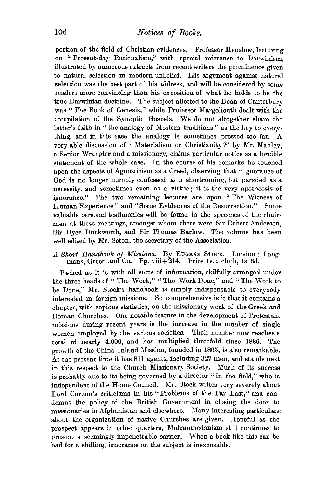portion of the field of Christian evidences. Professor Henslow, lecturing on '' Present-day Rationalism," with special reference to Darwinism, illustrated by numerous extracts from recent writers the prominence given to natural selection in modern unbelief. His argument against natural selection was the best part of his address, and will be considered by some readers more convincing than his exposition of what he holds to be the true Darwinian doctrine. The subject allotted to the Dean of Canterbury was "The Book of Genesis," while Professor Margoliouth dealt with the compilation of the Synoptic Gospels. We do not altogether share the latter's faith in "the analogy of Moslem traditions" as the key to everything, and in this case the analogy is sometimes pressed too far. A very able discussion of "Materialism or Christianity?" by Mr. Manley, a Senior Wrangler and a missionary, claims particular notice as a forcible statement of the whole case. In the course of his remarks he touched upon the aspects of Agnosticism as a Creed, observing that " ignorance of God is no longer humbly confessed as a shortcoming, but paraded as a necessity, and sometimes even as a virtue; it is the very apotheosis of ignorance." The two remaining lectures are upon '' The Witness of Human Experience" and "Some Evidences of the Resurrection." Some valuable personal testimonies will be found in the speeches of the chairmen at these meetings, amongst whom there were Sir Robert Anderson, Sir Dyce Duckworth, and Sir Thomas Barlow. The volume has been well edited by Mr. Seton, the secretary of the Association.

## *A Short Handbook of Missions.* By EuGENE SToCK. London : Longmans, Green and Co. Pp. viii  $+214$ . Price 1s.; cloth, 1s. 6d.

Packed as it is with all sorts of information, skilfully arranged under the three heads of "The Work," "The Work Done," and "The Work to be Done," Mr. Stock's handbook is simply indispensable to everybody interested in foreign missions. So comprehensive is it that it contains a chapter, with copious statistics, on the missionary work of the Greek and Roman Churches. One notable feature in the development of Protestant missions during recent years is the increase in the number of single women employed by the various societies. Their number now reaches a total of nearly 4,000, and has multiplied threefold since 1886. The growth of the China Inland Mission, founded in 1865, is also remarkable. At the present time it has 811 agents, including 327 men, and stands next in this respect to the Church Missionary Society. Much of its success is probably due to its being governed by a director "in the field," who is independent of the Home Council. Mr. Stock writes very severely about Lord Curzon's criticisms in his "Problems of the Far East," and condemns the policy of the British Government in closing the door to missionaries in Afghanistan and elsewhere. Many interesting particulars about the organization of native Churches are given. Hopeful as the prospect appears in other quarters, Mohammedanism still continues to present a seemingly impenetrable barrier. When a book like this can be had for a shilling, ignorance on the subject is inexcusable.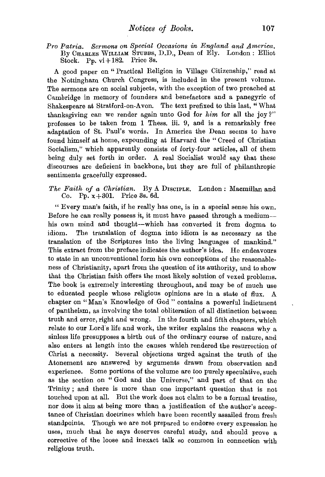*Pro Patria. Sermons on Special Occasions in England and America,*  By CHARLES WILLIAM STUBBS, D.D., Dean of Ely. London: Elliot Stock. Pp. vi + 182. Price 3s.

A good paper on "Practical Religion in Village Citizenship," read at the Nottingham Church Congress, is included in the present volume. The sermons are on social subjects, with the exception of two preached at Cambridge in memory of founders and benefactors and a panegyric of Shakespeare at Stratford-on-Avon. The text prefixed to this last, "What thanksgiving can we render again unto God for *him* for all the joy?" professes to be taken from 1 Thess. iii. 9, and is a remarkably free adaptation of St. Paul's words. In America the Dean seems to have found himself at home, expounding at Harvard the " Creed of Christian Socialism," which apparently consists of forty-four articles, all of them being duly set forth in order. A real Socialist would say that these discourses are deficient in backbone, but they are full of philanthropic sentiments gracefully expressed.

*The Faith of a Christian.* By A DISCIPLE. London : Macmillan and Co. Pp.  $x+301$ . Price 3s. 6d.

" Every man's faith, if he really has one, is in a special sense his own. Before he can really possess it, it must have passed through a mediumhis own mind and thought--which has converted it from dogma to idiom. The translation of dogma into idiom is as necessary as the translation of the Scriptures into the living languages of mankind." This extract from the preface indicates the author's idea. He endeavours to state in an unconventional form his own conceptions of the reasonableness of Christianity, apart from the question of its authority, and to show that the Christian faith offers the most likely solution of vexed problems. The book is extremely interesting throughout, and may be of much use to educated people whose religious opinions are in a state of flux. A chapter on "Man's Knowledge of God" contains a powerful indictment of pantheism, as involving the total obliteration of all distinction between truth and error, right and wrong. In the fourth and fifth chapters, which relate to our Lord's life and work, the writer explains the reasons why a sinless life presupposes a birth out of the ordinary course of nature, and also enters at length into the causes which rendered the resurrection of Christ a necessity. Several objections urged against the truth of the Atonement are answered by arguments drawn from observation and experience. Some portions of the volume are too purely speculative, such as the section on "God and the Universe," and part of that on the Trinity ; and there is more than one important question that is not touched upon at all. But the work does not claim to be a formal treatise, nor does it aim at being more than a justification of the author's acceptance of Christian doctrines which have been recently assailed from fresh standpoints. Though we are not prepared to endorse every expression he uses, much that he says deserves careful study, and should prove a corrective of the loose and inexact talk so common in connection with religious truth.